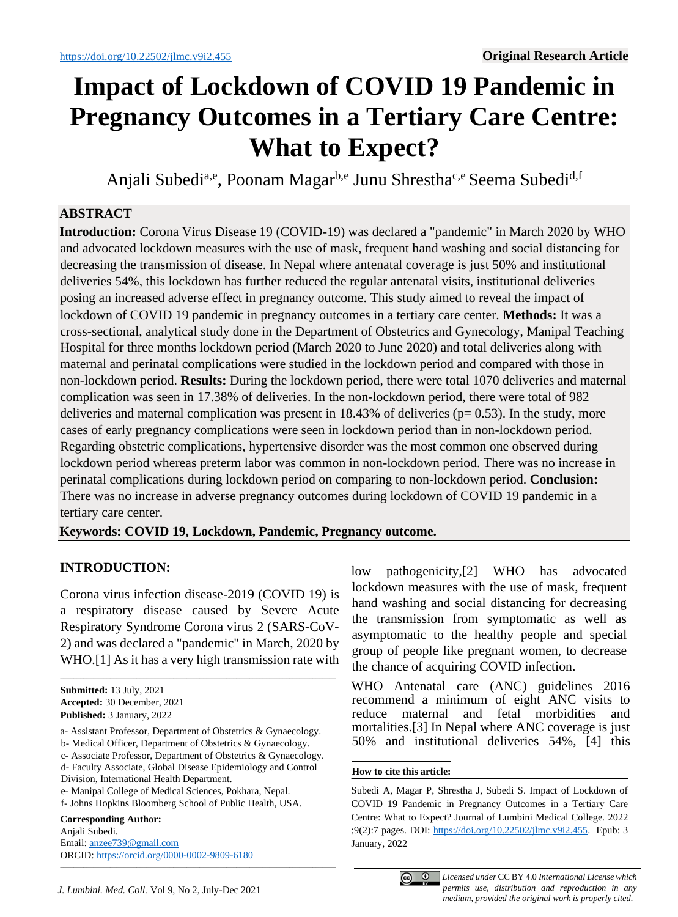# **Impact of Lockdown of COVID 19 Pandemic in Pregnancy Outcomes in a Tertiary Care Centre: What to Expect?**

Anjali Subedi<sup>a,e</sup>, Poonam Magar<sup>b,e</sup> Junu Shrestha<sup>c,e</sup> Seema Subedi<sup>d,f</sup>

# **ABSTRACT**

**Introduction:** Corona Virus Disease 19 (COVID-19) was declared a "pandemic" in March 2020 by WHO and advocated lockdown measures with the use of mask, frequent hand washing and social distancing for decreasing the transmission of disease. In Nepal where antenatal coverage is just 50% and institutional deliveries 54%, this lockdown has further reduced the regular antenatal visits, institutional deliveries posing an increased adverse effect in pregnancy outcome. This study aimed to reveal the impact of lockdown of COVID 19 pandemic in pregnancy outcomes in a tertiary care center. **Methods:** It was a cross-sectional, analytical study done in the Department of Obstetrics and Gynecology, Manipal Teaching Hospital for three months lockdown period (March 2020 to June 2020) and total deliveries along with maternal and perinatal complications were studied in the lockdown period and compared with those in non-lockdown period. **Results:** During the lockdown period, there were total 1070 deliveries and maternal complication was seen in 17.38% of deliveries. In the non-lockdown period, there were total of 982 deliveries and maternal complication was present in  $18.43\%$  of deliveries ( $p= 0.53$ ). In the study, more cases of early pregnancy complications were seen in lockdown period than in non-lockdown period. Regarding obstetric complications, hypertensive disorder was the most common one observed during lockdown period whereas preterm labor was common in non-lockdown period. There was no increase in perinatal complications during lockdown period on comparing to non-lockdown period. **Conclusion:** There was no increase in adverse pregnancy outcomes during lockdown of COVID 19 pandemic in a tertiary care center.

**Keywords: COVID 19, Lockdown, Pandemic, Pregnancy outcome.**

# **INTRODUCTION:**

Corona virus infection disease-2019 (COVID 19) is a respiratory disease caused by Severe Acute Respiratory Syndrome Corona virus 2 (SARS-CoV-2) and was declared a "pandemic" in March, 2020 by WHO.[1] As it has a very high transmission rate with

\_\_\_\_\_\_\_\_\_\_\_\_\_\_\_\_\_\_\_\_\_\_\_\_\_\_\_\_\_\_\_\_\_\_\_\_\_\_\_\_\_\_\_\_\_\_\_\_\_\_\_\_\_\_\_\_\_\_\_\_\_\_\_\_\_\_\_\_\_\_\_\_\_\_\_\_\_\_\_\_\_\_\_

- a- Assistant Professor, Department of Obstetrics & Gynaecology.
- b- Medical Officer, Department of Obstetrics & Gynaecology.

c- Associate Professor, Department of Obstetrics & Gynaecology.

\_\_\_\_\_\_\_\_\_\_\_\_\_\_\_\_\_\_\_\_\_\_\_\_\_\_\_\_\_\_\_\_\_\_\_\_\_\_\_\_\_\_\_\_\_\_\_\_\_\_\_\_\_\_\_\_\_\_\_\_\_\_\_\_\_\_\_\_\_\_\_\_\_\_\_\_\_\_\_\_\_\_\_

- d- Faculty Associate, Global Disease Epidemiology and Control Division, International Health Department.
- e- Manipal College of Medical Sciences, Pokhara, Nepal.
- f- Johns Hopkins Bloomberg School of Public Health, USA.

#### **Corresponding Author:**

Anjali Subedi. Email: [anzee739@gmail.com](mailto:anzee739@gmail.com) ORCID: <https://orcid.org/0000-0002-9809-6180> low pathogenicity,[2] WHO has advocated lockdown measures with the use of mask, frequent hand washing and social distancing for decreasing the transmission from symptomatic as well as asymptomatic to the healthy people and special group of people like pregnant women, to decrease the chance of acquiring COVID infection.

WHO Antenatal care (ANC) guidelines 2016 recommend a minimum of eight ANC visits to reduce maternal and fetal morbidities and mortalities.[3] In Nepal where ANC coverage is just 50% and institutional deliveries 54%, [4] this

#### **How to cite this article:**

Subedi A, Magar P, Shrestha J, Subedi S. Impact of Lockdown of COVID 19 Pandemic in Pregnancy Outcomes in a Tertiary Care Centre: What to Expect? Journal of Lumbini Medical College. 2022 ;9(2):7 pages. DOI: [https://doi.org/10.22502/jlmc.v9i2.455.](https://doi.org/10.22502/jlmc.v9i2.455) Epub: 3 January, 2022



**Submitted:** 13 July, 2021 **Accepted:** 30 December, 2021 **Published:** 3 January, 2022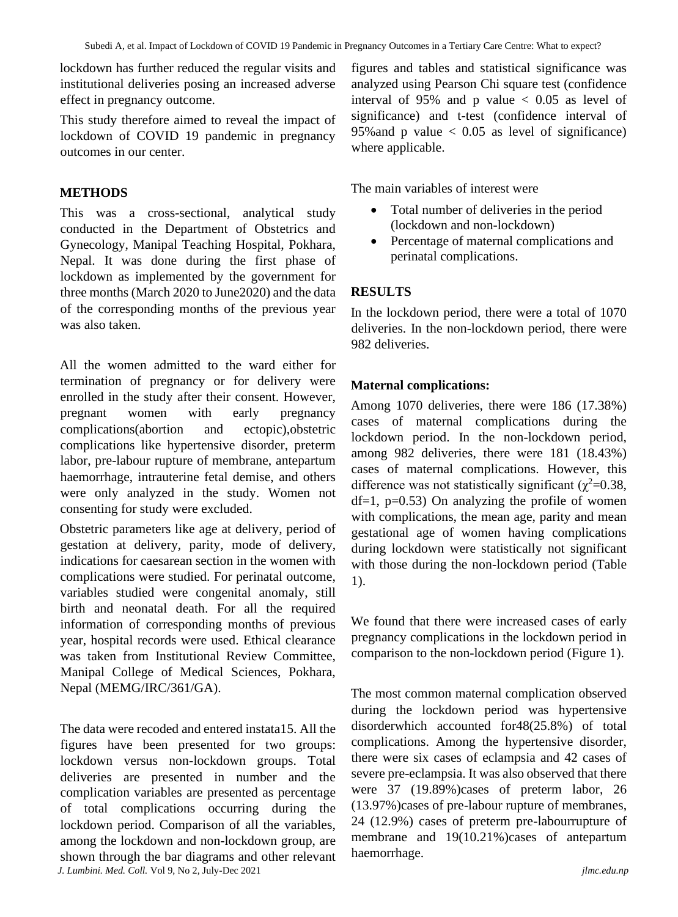lockdown has further reduced the regular visits and institutional deliveries posing an increased adverse effect in pregnancy outcome.

This study therefore aimed to reveal the impact of lockdown of COVID 19 pandemic in pregnancy outcomes in our center.

# **METHODS**

This was a cross-sectional, analytical study conducted in the Department of Obstetrics and Gynecology, Manipal Teaching Hospital, Pokhara, Nepal. It was done during the first phase of lockdown as implemented by the government for three months (March 2020 to June2020) and the data of the corresponding months of the previous year was also taken.

All the women admitted to the ward either for termination of pregnancy or for delivery were enrolled in the study after their consent. However, pregnant women with early pregnancy complications(abortion and ectopic),obstetric complications like hypertensive disorder, preterm labor, pre-labour rupture of membrane, antepartum haemorrhage, intrauterine fetal demise, and others were only analyzed in the study. Women not consenting for study were excluded.

Obstetric parameters like age at delivery, period of gestation at delivery, parity, mode of delivery, indications for caesarean section in the women with complications were studied. For perinatal outcome, variables studied were congenital anomaly, still birth and neonatal death. For all the required information of corresponding months of previous year, hospital records were used. Ethical clearance was taken from Institutional Review Committee, Manipal College of Medical Sciences, Pokhara, Nepal (MEMG/IRC/361/GA).

*J. Lumbini. Med. Coll.* Vol 9, No 2, July-Dec 2021 *jlmc.edu.np* The data were recoded and entered instata15. All the figures have been presented for two groups: lockdown versus non-lockdown groups. Total deliveries are presented in number and the complication variables are presented as percentage of total complications occurring during the lockdown period. Comparison of all the variables, among the lockdown and non-lockdown group, are shown through the bar diagrams and other relevant

figures and tables and statistical significance was analyzed using Pearson Chi square test (confidence interval of 95% and p value  $< 0.05$  as level of significance) and t-test (confidence interval of 95% and p value  $< 0.05$  as level of significance) where applicable.

The main variables of interest were

- Total number of deliveries in the period (lockdown and non-lockdown)
- Percentage of maternal complications and perinatal complications.

# **RESULTS**

In the lockdown period, there were a total of 1070 deliveries. In the non-lockdown period, there were 982 deliveries.

## **Maternal complications:**

Among 1070 deliveries, there were 186 (17.38%) cases of maternal complications during the lockdown period. In the non-lockdown period, among 982 deliveries, there were 181 (18.43%) cases of maternal complications. However, this difference was not statistically significant ( $\chi^2$ =0.38,  $df=1$ ,  $p=0.53$ ) On analyzing the profile of women with complications, the mean age, parity and mean gestational age of women having complications during lockdown were statistically not significant with those during the non-lockdown period (Table 1).

We found that there were increased cases of early pregnancy complications in the lockdown period in comparison to the non-lockdown period (Figure 1).

The most common maternal complication observed during the lockdown period was hypertensive disorderwhich accounted for48(25.8%) of total complications. Among the hypertensive disorder, there were six cases of eclampsia and 42 cases of severe pre-eclampsia. It was also observed that there were 37 (19.89%)cases of preterm labor, 26 (13.97%)cases of pre-labour rupture of membranes, 24 (12.9%) cases of preterm pre-labourrupture of membrane and 19(10.21%)cases of antepartum haemorrhage.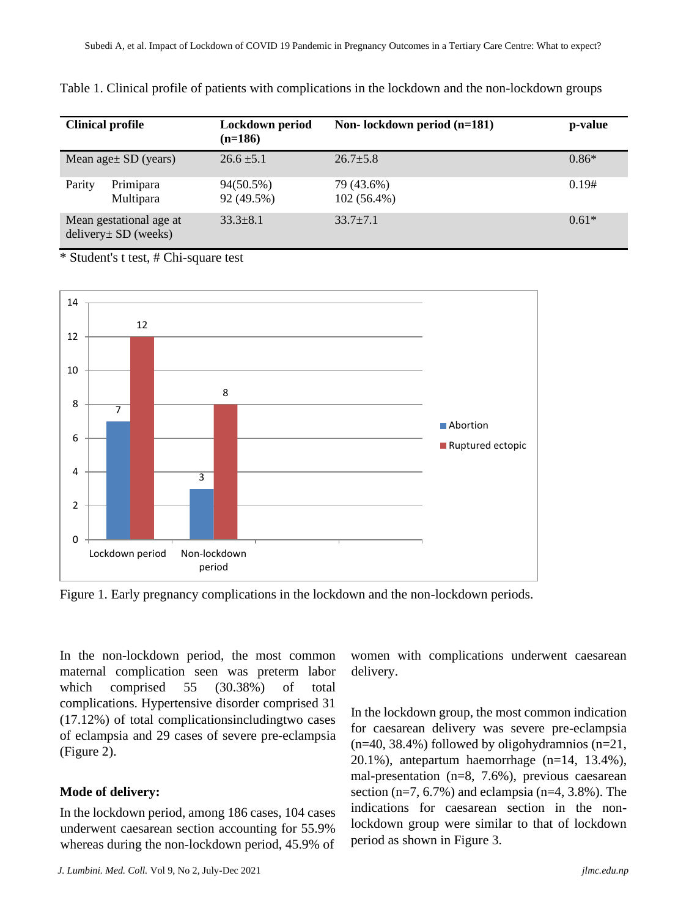| <b>Clinical profile</b>                           |                        | Lockdown period<br>$(n=186)$ | Non-lockdown period (n=181) | p-value |
|---------------------------------------------------|------------------------|------------------------------|-----------------------------|---------|
| Mean age $\pm$ SD (years)                         |                        | $26.6 \pm 5.1$               | $26.7 + 5.8$                | $0.86*$ |
| Parity                                            | Primipara<br>Multipara | 94(50.5%)<br>92 (49.5%)      | 79 (43.6%)<br>$102(56.4\%)$ | 0.19#   |
| Mean gestational age at<br>$delivery± SD$ (weeks) |                        | $33.3 \pm 8.1$               | $33.7 + 7.1$                | $0.61*$ |

Table 1. Clinical profile of patients with complications in the lockdown and the non-lockdown groups

\* Student's t test, # Chi-square test



Figure 1. Early pregnancy complications in the lockdown and the non-lockdown periods.

In the non-lockdown period, the most common maternal complication seen was preterm labor which comprised 55 (30.38%) of total complications. Hypertensive disorder comprised 31 (17.12%) of total complicationsincludingtwo cases of eclampsia and 29 cases of severe pre-eclampsia (Figure 2).

## **Mode of delivery:**

In the lockdown period, among 186 cases, 104 cases underwent caesarean section accounting for 55.9% whereas during the non-lockdown period, 45.9% of

delivery.

women with complications underwent caesarean

In the lockdown group, the most common indication for caesarean delivery was severe pre-eclampsia  $(n=40, 38.4\%)$  followed by oligohydramnios  $(n=21,$ 20.1%), antepartum haemorrhage (n=14, 13.4%), mal-presentation (n=8, 7.6%), previous caesarean section  $(n=7, 6.7\%)$  and eclampsia  $(n=4, 3.8\%)$ . The indications for caesarean section in the nonlockdown group were similar to that of lockdown period as shown in Figure 3.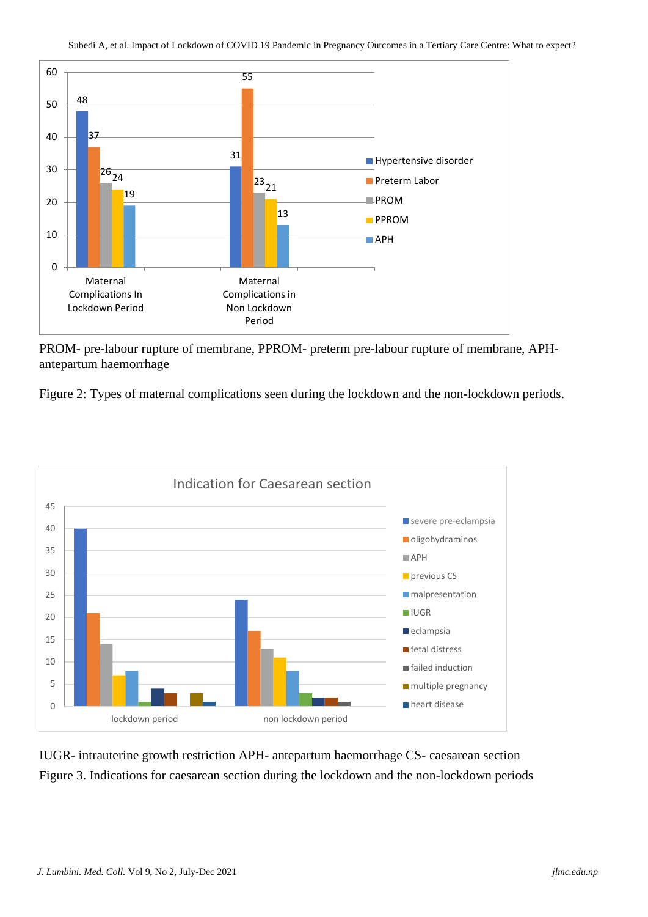

PROM- pre-labour rupture of membrane, PPROM- preterm pre-labour rupture of membrane, APHantepartum haemorrhage

Figure 2: Types of maternal complications seen during the lockdown and the non-lockdown periods.



IUGR- intrauterine growth restriction APH- antepartum haemorrhage CS- caesarean section Figure 3. Indications for caesarean section during the lockdown and the non-lockdown periods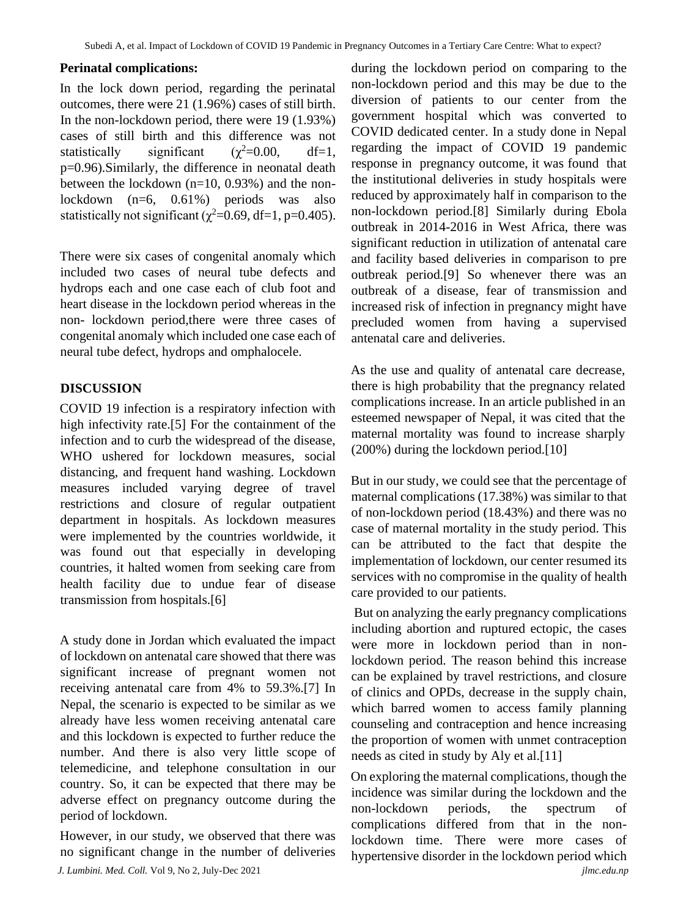## **Perinatal complications:**

In the lock down period, regarding the perinatal outcomes, there were 21 (1.96%) cases of still birth. In the non-lockdown period, there were 19 (1.93%) cases of still birth and this difference was not statistically significant  $(\chi^2=0.00, \text{ df}=1,$ p=0.96).Similarly, the difference in neonatal death between the lockdown (n=10, 0.93%) and the nonlockdown (n=6, 0.61%) periods was also statistically not significant ( $\gamma^2$ =0.69, df=1, p=0.405).

There were six cases of congenital anomaly which included two cases of neural tube defects and hydrops each and one case each of club foot and heart disease in the lockdown period whereas in the non- lockdown period,there were three cases of congenital anomaly which included one case each of neural tube defect, hydrops and omphalocele.

# **DISCUSSION**

COVID 19 infection is a respiratory infection with high infectivity rate.[5] For the containment of the infection and to curb the widespread of the disease, WHO ushered for lockdown measures, social distancing, and frequent hand washing. Lockdown measures included varying degree of travel restrictions and closure of regular outpatient department in hospitals. As lockdown measures were implemented by the countries worldwide, it was found out that especially in developing countries, it halted women from seeking care from health facility due to undue fear of disease transmission from hospitals.[6]

A study done in Jordan which evaluated the impact of lockdown on antenatal care showed that there was significant increase of pregnant women not receiving antenatal care from 4% to 59.3%.[7] In Nepal, the scenario is expected to be similar as we already have less women receiving antenatal care and this lockdown is expected to further reduce the number. And there is also very little scope of telemedicine, and telephone consultation in our country. So, it can be expected that there may be adverse effect on pregnancy outcome during the period of lockdown.

However, in our study, we observed that there was no significant change in the number of deliveries during the lockdown period on comparing to the non-lockdown period and this may be due to the diversion of patients to our center from the government hospital which was converted to COVID dedicated center. In a study done in Nepal regarding the impact of COVID 19 pandemic response in pregnancy outcome, it was found that the institutional deliveries in study hospitals were reduced by approximately half in comparison to the non-lockdown period.[8] Similarly during Ebola outbreak in 2014-2016 in West Africa, there was significant reduction in utilization of antenatal care and facility based deliveries in comparison to pre outbreak period.[9] So whenever there was an outbreak of a disease, fear of transmission and increased risk of infection in pregnancy might have precluded women from having a supervised antenatal care and deliveries.

As the use and quality of antenatal care decrease, there is high probability that the pregnancy related complications increase. In an article published in an esteemed newspaper of Nepal, it was cited that the maternal mortality was found to increase sharply (200%) during the lockdown period.[10]

But in our study, we could see that the percentage of maternal complications (17.38%) was similar to that of non-lockdown period (18.43%) and there was no case of maternal mortality in the study period. This can be attributed to the fact that despite the implementation of lockdown, our center resumed its services with no compromise in the quality of health care provided to our patients.

But on analyzing the early pregnancy complications including abortion and ruptured ectopic, the cases were more in lockdown period than in nonlockdown period. The reason behind this increase can be explained by travel restrictions, and closure of clinics and OPDs, decrease in the supply chain, which barred women to access family planning counseling and contraception and hence increasing the proportion of women with unmet contraception needs as cited in study by Aly et al.[11]

*J. Lumbini. Med. Coll.* Vol 9, No 2, July-Dec 2021 *jlmc.edu.np* On exploring the maternal complications, though the incidence was similar during the lockdown and the non-lockdown periods, the spectrum of complications differed from that in the nonlockdown time. There were more cases of hypertensive disorder in the lockdown period which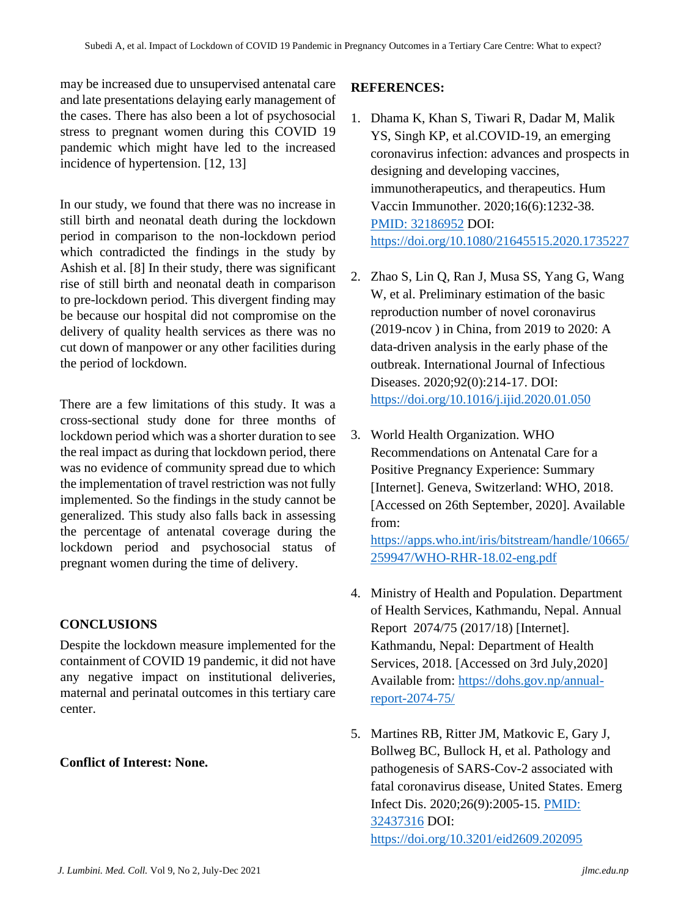may be increased due to unsupervised antenatal care and late presentations delaying early management of the cases. There has also been a lot of psychosocial stress to pregnant women during this COVID 19 pandemic which might have led to the increased incidence of hypertension. [12, 13]

In our study, we found that there was no increase in still birth and neonatal death during the lockdown period in comparison to the non-lockdown period which contradicted the findings in the study by Ashish et al. [8] In their study, there was significant rise of still birth and neonatal death in comparison to pre-lockdown period. This divergent finding may be because our hospital did not compromise on the delivery of quality health services as there was no cut down of manpower or any other facilities during the period of lockdown.

There are a few limitations of this study. It was a cross-sectional study done for three months of lockdown period which was a shorter duration to see the real impact as during that lockdown period, there was no evidence of community spread due to which the implementation of travel restriction was not fully implemented. So the findings in the study cannot be generalized. This study also falls back in assessing the percentage of antenatal coverage during the lockdown period and psychosocial status of pregnant women during the time of delivery.

## **CONCLUSIONS**

Despite the lockdown measure implemented for the containment of COVID 19 pandemic, it did not have any negative impact on institutional deliveries, maternal and perinatal outcomes in this tertiary care center.

## **Conflict of Interest: None.**

#### **REFERENCES:**

- 1. Dhama K, Khan S, Tiwari R, Dadar M, Malik YS, Singh KP, et al.COVID-19, an emerging coronavirus infection: advances and prospects in designing and developing vaccines, immunotherapeutics, and therapeutics. Hum Vaccin Immunother. 2020;16(6):1232-38. [PMID: 32186952](https://pubmed.ncbi.nlm.nih.gov/32186952/) DOI: <https://doi.org/10.1080/21645515.2020.1735227>
- 2. Zhao S, Lin Q, Ran J, Musa SS, Yang G, Wang W, et al. Preliminary estimation of the basic reproduction number of novel coronavirus (2019-ncov ) in China, from 2019 to 2020: A data-driven analysis in the early phase of the outbreak. International Journal of Infectious Diseases. 2020;92(0):214-17. DOI: <https://doi.org/10.1016/j.ijid.2020.01.050>
- 3. World Health Organization. WHO Recommendations on Antenatal Care for a Positive Pregnancy Experience: Summary [Internet]. Geneva, Switzerland: WHO, 2018. [Accessed on 26th September, 2020]. Available from:

[https://apps.who.int/iris/bitstream/handle/10665/](https://apps.who.int/iris/bitstream/handle/10665/259947/WHO-RHR-18.02-eng.pdf) [259947/WHO-RHR-18.02-eng.pdf](https://apps.who.int/iris/bitstream/handle/10665/259947/WHO-RHR-18.02-eng.pdf)

- 4. Ministry of Health and Population. Department of Health Services, Kathmandu, Nepal. Annual Report 2074/75 (2017/18) [Internet]. Kathmandu, Nepal: Department of Health Services, 2018. [Accessed on 3rd July,2020] Available from: [https://dohs.gov.np/annual](https://dohs.gov.np/annual-report-2074-75/)[report-2074-75/](https://dohs.gov.np/annual-report-2074-75/)
- 5. Martines RB, Ritter JM, Matkovic E, Gary J, Bollweg BC, Bullock H, et al. Pathology and pathogenesis of SARS-Cov-2 associated with fatal coronavirus disease, United States. Emerg Infect Dis. 2020;26(9):2005-15. [PMID:](https://pubmed.ncbi.nlm.nih.gov/32437316/)  [32437316](https://pubmed.ncbi.nlm.nih.gov/32437316/) DOI: <https://doi.org/10.3201/eid2609.202095>